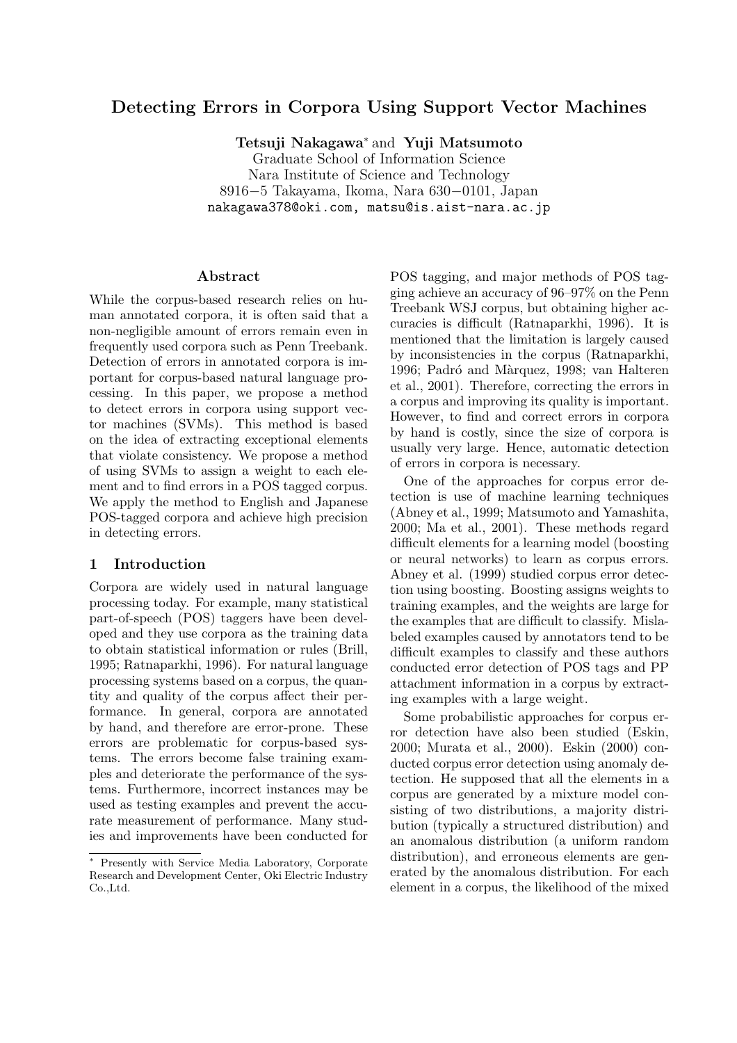# Detecting Errors in Corpora Using Support Vector Machines

Tetsuji Nakagawa<sup>∗</sup> and Yuji Matsumoto Graduate School of Information Science Nara Institute of Science and Technology 8916−5 Takayama, Ikoma, Nara 630−0101, Japan nakagawa378@oki.com, matsu@is.aist-nara.ac.jp

#### Abstract

While the corpus-based research relies on human annotated corpora, it is often said that a non-negligible amount of errors remain even in frequently used corpora such as Penn Treebank. Detection of errors in annotated corpora is important for corpus-based natural language processing. In this paper, we propose a method to detect errors in corpora using support vector machines (SVMs). This method is based on the idea of extracting exceptional elements that violate consistency. We propose a method of using SVMs to assign a weight to each element and to find errors in a POS tagged corpus. We apply the method to English and Japanese POS-tagged corpora and achieve high precision in detecting errors.

## 1 Introduction

Corpora are widely used in natural language processing today. For example, many statistical part-of-speech (POS) taggers have been developed and they use corpora as the training data to obtain statistical information or rules (Brill, 1995; Ratnaparkhi, 1996). For natural language processing systems based on a corpus, the quantity and quality of the corpus affect their performance. In general, corpora are annotated by hand, and therefore are error-prone. These errors are problematic for corpus-based systems. The errors become false training examples and deteriorate the performance of the systems. Furthermore, incorrect instances may be used as testing examples and prevent the accurate measurement of performance. Many studies and improvements have been conducted for POS tagging, and major methods of POS tagging achieve an accuracy of 96–97% on the Penn Treebank WSJ corpus, but obtaining higher accuracies is difficult (Ratnaparkhi, 1996). It is mentioned that the limitation is largely caused by inconsistencies in the corpus (Ratnaparkhi, 1996; Padró and Màrquez, 1998; van Halteren et al., 2001). Therefore, correcting the errors in a corpus and improving its quality is important. However, to find and correct errors in corpora by hand is costly, since the size of corpora is usually very large. Hence, automatic detection of errors in corpora is necessary.

One of the approaches for corpus error detection is use of machine learning techniques (Abney et al., 1999; Matsumoto and Yamashita, 2000; Ma et al., 2001). These methods regard difficult elements for a learning model (boosting or neural networks) to learn as corpus errors. Abney et al. (1999) studied corpus error detection using boosting. Boosting assigns weights to training examples, and the weights are large for the examples that are difficult to classify. Mislabeled examples caused by annotators tend to be difficult examples to classify and these authors conducted error detection of POS tags and PP attachment information in a corpus by extracting examples with a large weight.

Some probabilistic approaches for corpus error detection have also been studied (Eskin, 2000; Murata et al., 2000). Eskin (2000) conducted corpus error detection using anomaly detection. He supposed that all the elements in a corpus are generated by a mixture model consisting of two distributions, a majority distribution (typically a structured distribution) and an anomalous distribution (a uniform random distribution), and erroneous elements are generated by the anomalous distribution. For each element in a corpus, the likelihood of the mixed

<sup>∗</sup> Presently with Service Media Laboratory, Corporate Research and Development Center, Oki Electric Industry Co.,Ltd.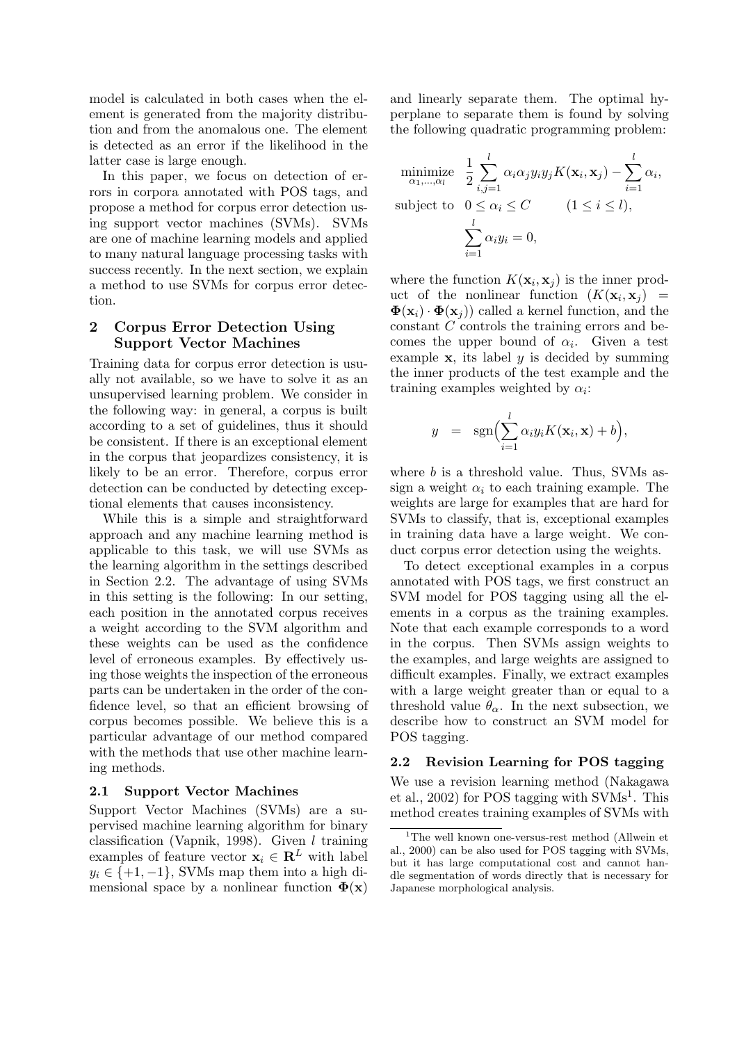model is calculated in both cases when the element is generated from the majority distribution and from the anomalous one. The element is detected as an error if the likelihood in the latter case is large enough.

In this paper, we focus on detection of errors in corpora annotated with POS tags, and propose a method for corpus error detection using support vector machines (SVMs). SVMs are one of machine learning models and applied to many natural language processing tasks with success recently. In the next section, we explain a method to use SVMs for corpus error detection.

# 2 Corpus Error Detection Using Support Vector Machines

Training data for corpus error detection is usually not available, so we have to solve it as an unsupervised learning problem. We consider in the following way: in general, a corpus is built according to a set of guidelines, thus it should be consistent. If there is an exceptional element in the corpus that jeopardizes consistency, it is likely to be an error. Therefore, corpus error detection can be conducted by detecting exceptional elements that causes inconsistency.

While this is a simple and straightforward approach and any machine learning method is applicable to this task, we will use SVMs as the learning algorithm in the settings described in Section 2.2. The advantage of using SVMs in this setting is the following: In our setting, each position in the annotated corpus receives a weight according to the SVM algorithm and these weights can be used as the confidence level of erroneous examples. By effectively using those weights the inspection of the erroneous parts can be undertaken in the order of the confidence level, so that an efficient browsing of corpus becomes possible. We believe this is a particular advantage of our method compared with the methods that use other machine learning methods.

### 2.1 Support Vector Machines

Support Vector Machines (SVMs) are a supervised machine learning algorithm for binary classification (Vapnik, 1998). Given  $l$  training examples of feature vector  $\mathbf{x}_i \in \mathbb{R}^L$  with label  $y_i \in \{+1, -1\}$ , SVMs map them into a high dimensional space by a nonlinear function  $\Phi(\mathbf{x})$ 

and linearly separate them. The optimal hyperplane to separate them is found by solving the following quadratic programming problem:

$$
\begin{aligned}\n\underset{\alpha_1,\dots,\alpha_l}{\text{minimize}} & \frac{1}{2} \sum_{i,j=1}^l \alpha_i \alpha_j y_i y_j K(\mathbf{x}_i, \mathbf{x}_j) - \sum_{i=1}^l \alpha_i, \\
\text{subject to} & 0 \le \alpha_i \le C \qquad (1 \le i \le l), \\
& \sum_{i=1}^l \alpha_i y_i = 0,\n\end{aligned}
$$

where the function  $K(\mathbf{x}_i, \mathbf{x}_j)$  is the inner product of the nonlinear function  $(K(\mathbf{x}_i, \mathbf{x}_j))$  =  $\mathbf{\Phi}(\mathbf{x}_i) \cdot \mathbf{\Phi}(\mathbf{x}_i)$  called a kernel function, and the constant C controls the training errors and becomes the upper bound of  $\alpha_i$ . Given a test example  $x$ , its label  $y$  is decided by summing the inner products of the test example and the training examples weighted by  $\alpha_i$ :

$$
y = \operatorname{sgn}\Bigl(\sum_{i=1}^l \alpha_i y_i K(\mathbf{x}_i, \mathbf{x}) + b\Bigr),
$$

where b is a threshold value. Thus, SVMs assign a weight  $\alpha_i$  to each training example. The weights are large for examples that are hard for SVMs to classify, that is, exceptional examples in training data have a large weight. We conduct corpus error detection using the weights.

To detect exceptional examples in a corpus annotated with POS tags, we first construct an SVM model for POS tagging using all the elements in a corpus as the training examples. Note that each example corresponds to a word in the corpus. Then SVMs assign weights to the examples, and large weights are assigned to difficult examples. Finally, we extract examples with a large weight greater than or equal to a threshold value  $\theta_{\alpha}$ . In the next subsection, we describe how to construct an SVM model for POS tagging.

### 2.2 Revision Learning for POS tagging

We use a revision learning method (Nakagawa et al., 2002) for POS tagging with  $\text{SVMs}^1$ . This method creates training examples of SVMs with

<sup>&</sup>lt;sup>1</sup>The well known one-versus-rest method (Allwein et al., 2000) can be also used for POS tagging with SVMs, but it has large computational cost and cannot handle segmentation of words directly that is necessary for Japanese morphological analysis.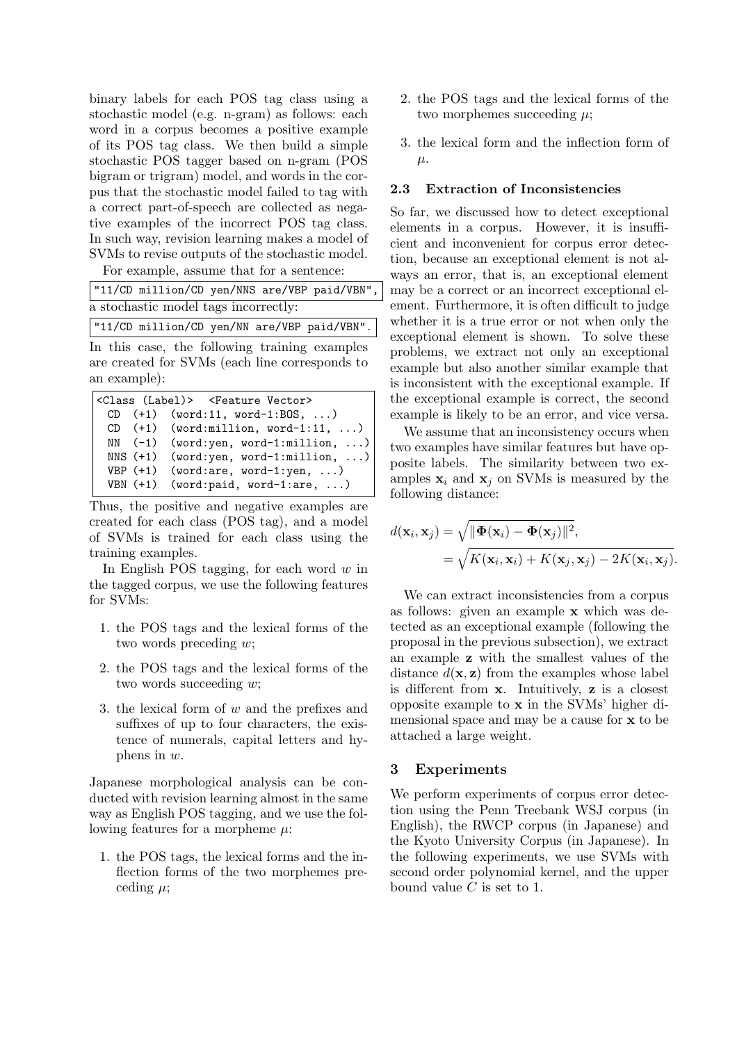binary labels for each POS tag class using a stochastic model (e.g. n-gram) as follows: each word in a corpus becomes a positive example of its POS tag class. We then build a simple stochastic POS tagger based on n-gram (POS bigram or trigram) model, and words in the corpus that the stochastic model failed to tag with a correct part-of-speech are collected as negative examples of the incorrect POS tag class. In such way, revision learning makes a model of SVMs to revise outputs of the stochastic model.

For example, assume that for a sentence:

| "11/CD million/CD yen/NNS are/VBP paid/VBN", |  |  |
|----------------------------------------------|--|--|
| a stochastic model tags incorrectly:         |  |  |

"11/CD million/CD yen/NN are/VBP paid/VBN".

In this case, the following training examples are created for SVMs (each line corresponds to an example):

```
<Class (Label)> <Feature Vector>
 CD (+1) (word:11, word-1:BOS, ...)
 CD (+1) (word:million, word-1:11, ...)
 NN (-1) (word:yen, word-1:million, ...)
 NNS (+1) (word:yen, word-1:million, ...)
 VBP (+1) (word:are, word-1:yen, ...)
 VBN (+1) (word:paid, word-1:are, ...)
```
Thus, the positive and negative examples are created for each class (POS tag), and a model of SVMs is trained for each class using the training examples.

In English POS tagging, for each word  $w$  in the tagged corpus, we use the following features for SVMs:

- 1. the POS tags and the lexical forms of the two words preceding w;
- 2. the POS tags and the lexical forms of the two words succeeding w;
- 3. the lexical form of w and the prefixes and suffixes of up to four characters, the existence of numerals, capital letters and hyphens in w.

Japanese morphological analysis can be conducted with revision learning almost in the same way as English POS tagging, and we use the following features for a morpheme  $\mu$ :

1. the POS tags, the lexical forms and the inflection forms of the two morphemes preceding  $\mu$ ;

- 2. the POS tags and the lexical forms of the two morphemes succeeding  $\mu$ ;
- 3. the lexical form and the inflection form of  $\mu$ .

#### 2.3 Extraction of Inconsistencies

So far, we discussed how to detect exceptional elements in a corpus. However, it is insufficient and inconvenient for corpus error detection, because an exceptional element is not always an error, that is, an exceptional element may be a correct or an incorrect exceptional element. Furthermore, it is often difficult to judge whether it is a true error or not when only the exceptional element is shown. To solve these problems, we extract not only an exceptional example but also another similar example that is inconsistent with the exceptional example. If the exceptional example is correct, the second example is likely to be an error, and vice versa.

We assume that an inconsistency occurs when two examples have similar features but have opposite labels. The similarity between two examples  $x_i$  and  $x_j$  on SVMs is measured by the following distance:

$$
d(\mathbf{x}_i, \mathbf{x}_j) = \sqrt{\|\mathbf{\Phi}(\mathbf{x}_i) - \mathbf{\Phi}(\mathbf{x}_j)\|^2},
$$
  
= 
$$
\sqrt{K(\mathbf{x}_i, \mathbf{x}_i) + K(\mathbf{x}_j, \mathbf{x}_j) - 2K(\mathbf{x}_i, \mathbf{x}_j)}.
$$

We can extract inconsistencies from a corpus as follows: given an example x which was detected as an exceptional example (following the proposal in the previous subsection), we extract an example z with the smallest values of the distance  $d(\mathbf{x}, \mathbf{z})$  from the examples whose label is different from  $x$ . Intuitively,  $z$  is a closest opposite example to x in the SVMs' higher dimensional space and may be a cause for x to be attached a large weight.

### 3 Experiments

We perform experiments of corpus error detection using the Penn Treebank WSJ corpus (in English), the RWCP corpus (in Japanese) and the Kyoto University Corpus (in Japanese). In the following experiments, we use SVMs with second order polynomial kernel, and the upper bound value  $C$  is set to 1.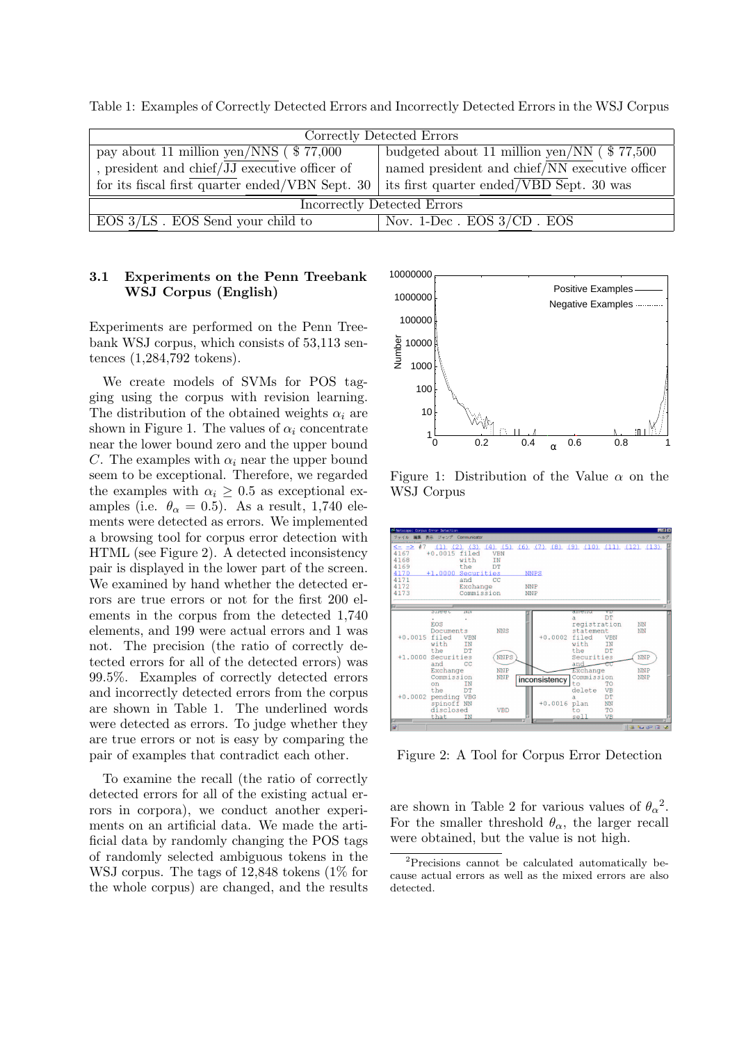| Correctly Detected Errors                                                                  |                                                         |  |  |  |
|--------------------------------------------------------------------------------------------|---------------------------------------------------------|--|--|--|
| pay about 11 million $\overline{\text{yen}/\text{NNS}}$ ( $\text{\$ 77,000}$               | budgeted about 11 million yen/NN $(\$ 77,500$           |  |  |  |
| , president and chief/JJ executive officer of                                              | named president and chief $\sqrt{NN}$ executive officer |  |  |  |
| for its fiscal first quarter ended/VBN Sept. 30   its first quarter ended/VBD Sept. 30 was |                                                         |  |  |  |
| Incorrectly Detected Errors                                                                |                                                         |  |  |  |
| $EOS 3/LS$ . EOS Send your child to                                                        | Nov. $1$ -Dec. EOS $3/CD$ . EOS                         |  |  |  |

Table 1: Examples of Correctly Detected Errors and Incorrectly Detected Errors in the WSJ Corpus

### 3.1 Experiments on the Penn Treebank WSJ Corpus (English)

Experiments are performed on the Penn Treebank WSJ corpus, which consists of 53,113 sentences (1,284,792 tokens).

We create models of SVMs for POS tagging using the corpus with revision learning. The distribution of the obtained weights  $\alpha_i$  are shown in Figure 1. The values of  $\alpha_i$  concentrate near the lower bound zero and the upper bound C. The examples with  $\alpha_i$  near the upper bound seem to be exceptional. Therefore, we regarded the examples with  $\alpha_i \geq 0.5$  as exceptional examples (i.e.  $\theta_{\alpha} = 0.5$ ). As a result, 1,740 elements were detected as errors. We implemented a browsing tool for corpus error detection with HTML (see Figure 2). A detected inconsistency pair is displayed in the lower part of the screen. We examined by hand whether the detected errors are true errors or not for the first 200 elements in the corpus from the detected 1,740 elements, and 199 were actual errors and 1 was not. The precision (the ratio of correctly detected errors for all of the detected errors) was 99.5%. Examples of correctly detected errors and incorrectly detected errors from the corpus are shown in Table 1. The underlined words were detected as errors. To judge whether they are true errors or not is easy by comparing the pair of examples that contradict each other.

To examine the recall (the ratio of correctly detected errors for all of the existing actual errors in corpora), we conduct another experiments on an artificial data. We made the artificial data by randomly changing the POS tags of randomly selected ambiguous tokens in the WSJ corpus. The tags of 12,848 tokens (1% for the whole corpus) are changed, and the results



Figure 1: Distribution of the Value  $\alpha$  on the WSJ Corpus



Figure 2: A Tool for Corpus Error Detection

are shown in Table 2 for various values of  $\theta_{\alpha}^2$ . For the smaller threshold  $\theta_{\alpha}$ , the larger recall were obtained, but the value is not high.

<sup>2</sup>Precisions cannot be calculated automatically because actual errors as well as the mixed errors are also detected.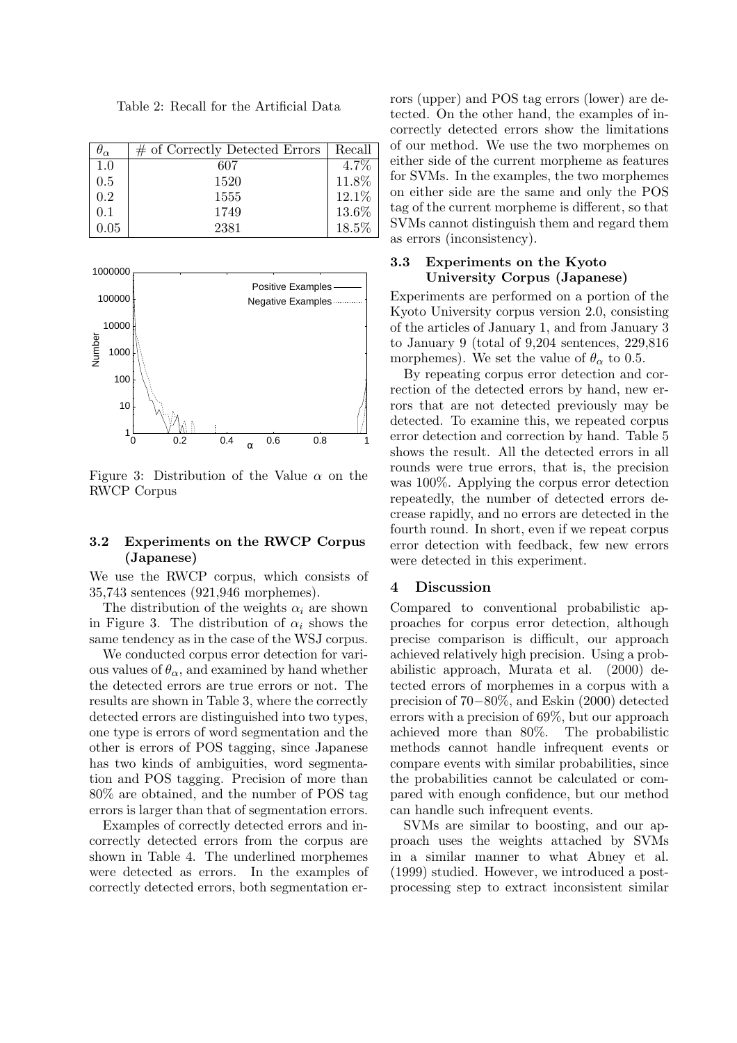Table 2: Recall for the Artificial Data

| $\sigma_{\alpha}$ | $\#$ of Correctly Detected Errors | Recall  |
|-------------------|-----------------------------------|---------|
| 1.0               | 607                               | $4.7\%$ |
| 0.5               | 1520                              | 11.8%   |
| 0.2               | 1555                              | 12.1%   |
| 0.1               | 1749                              | 13.6%   |
| $\rm 0.05$        | 2381                              | 18.5%   |



Figure 3: Distribution of the Value  $\alpha$  on the RWCP Corpus

### 3.2 Experiments on the RWCP Corpus (Japanese)

We use the RWCP corpus, which consists of 35,743 sentences (921,946 morphemes).

The distribution of the weights  $\alpha_i$  are shown in Figure 3. The distribution of  $\alpha_i$  shows the same tendency as in the case of the WSJ corpus.

We conducted corpus error detection for various values of  $\theta_{\alpha}$ , and examined by hand whether the detected errors are true errors or not. The results are shown in Table 3, where the correctly detected errors are distinguished into two types, one type is errors of word segmentation and the other is errors of POS tagging, since Japanese has two kinds of ambiguities, word segmentation and POS tagging. Precision of more than 80% are obtained, and the number of POS tag errors is larger than that of segmentation errors.

Examples of correctly detected errors and incorrectly detected errors from the corpus are shown in Table 4. The underlined morphemes were detected as errors. In the examples of correctly detected errors, both segmentation errors (upper) and POS tag errors (lower) are detected. On the other hand, the examples of incorrectly detected errors show the limitations of our method. We use the two morphemes on either side of the current morpheme as features for SVMs. In the examples, the two morphemes on either side are the same and only the POS tag of the current morpheme is different, so that SVMs cannot distinguish them and regard them as errors (inconsistency).

### 3.3 Experiments on the Kyoto University Corpus (Japanese)

Experiments are performed on a portion of the Kyoto University corpus version 2.0, consisting of the articles of January 1, and from January 3 to January 9 (total of 9,204 sentences, 229,816 morphemes). We set the value of  $\theta_{\alpha}$  to 0.5.

By repeating corpus error detection and correction of the detected errors by hand, new errors that are not detected previously may be detected. To examine this, we repeated corpus error detection and correction by hand. Table 5 shows the result. All the detected errors in all rounds were true errors, that is, the precision was 100%. Applying the corpus error detection repeatedly, the number of detected errors decrease rapidly, and no errors are detected in the fourth round. In short, even if we repeat corpus error detection with feedback, few new errors were detected in this experiment.

### 4 Discussion

Compared to conventional probabilistic approaches for corpus error detection, although precise comparison is difficult, our approach achieved relatively high precision. Using a probabilistic approach, Murata et al. (2000) detected errors of morphemes in a corpus with a precision of 70−80%, and Eskin (2000) detected errors with a precision of 69%, but our approach achieved more than 80%. The probabilistic methods cannot handle infrequent events or compare events with similar probabilities, since the probabilities cannot be calculated or compared with enough confidence, but our method can handle such infrequent events.

SVMs are similar to boosting, and our approach uses the weights attached by SVMs in a similar manner to what Abney et al. (1999) studied. However, we introduced a postprocessing step to extract inconsistent similar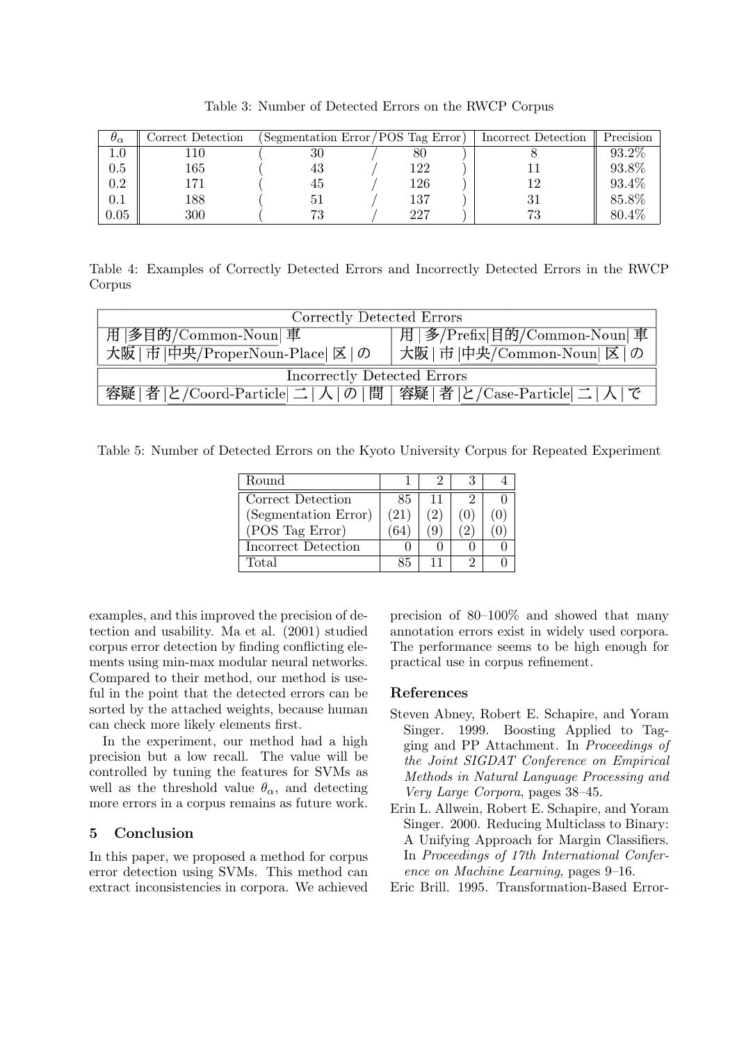| $\theta_{\alpha}$ | Correct Detection | Segmentation Error/POS Tag Error) |     | Incorrect Detection | Precision |
|-------------------|-------------------|-----------------------------------|-----|---------------------|-----------|
| $1.0\,$           |                   | 30                                | 80  |                     | 93.2\%    |
| $0.5\,$           | 165               | 43                                | 122 |                     | 93.8%     |
| 0.2               | 171               | 45                                | 126 | 12                  | 93.4%     |
| $0.1\,$           | 188               |                                   | 137 |                     | 85.8%     |
| 0.05              | 300               | 70                                | 227 | 73                  | 80.4\%    |

Table 3: Number of Detected Errors on the RWCP Corpus

Table 4: Examples of Correctly Detected Errors and Incorrectly Detected Errors in the RWCP Corpus

| Correctly Detected Errors                                |                                   |  |  |  |
|----------------------------------------------------------|-----------------------------------|--|--|--|
| 用  多目的/Common-Noun  車                                    | 用   多/Prefix   目的/Common-Noun   車 |  |  |  |
| 大阪   市  中央/ProperNoun-Place  区   の                       | 大阪   市  中央/Common-Noun  区   の     |  |  |  |
| Incorrectly Detected Errors                              |                                   |  |  |  |
| 容疑 者 と/Coord-Particle 二 人 の 間 容疑 者 と/Case-Particle 二 人 で |                                   |  |  |  |

Table 5: Number of Detected Errors on the Kyoto University Corpus for Repeated Experiment

| Round                |           |    |  |
|----------------------|-----------|----|--|
| Correct Detection    | 85.       | 11 |  |
| (Segmentation Error) | $^{(21)}$ |    |  |
| (POS Tag Error)      |           |    |  |
| Incorrect Detection  |           |    |  |
| Total                | 85        |    |  |

examples, and this improved the precision of detection and usability. Ma et al. (2001) studied corpus error detection by finding conflicting elements using min-max modular neural networks. Compared to their method, our method is useful in the point that the detected errors can be sorted by the attached weights, because human can check more likely elements first.

In the experiment, our method had a high precision but a low recall. The value will be controlled by tuning the features for SVMs as well as the threshold value  $\theta_{\alpha}$ , and detecting more errors in a corpus remains as future work.

# 5 Conclusion

In this paper, we proposed a method for corpus error detection using SVMs. This method can extract inconsistencies in corpora. We achieved precision of 80–100% and showed that many annotation errors exist in widely used corpora. The performance seems to be high enough for practical use in corpus refinement.

### References

- Steven Abney, Robert E. Schapire, and Yoram Singer. 1999. Boosting Applied to Tagging and PP Attachment. In Proceedings of the Joint SIGDAT Conference on Empirical Methods in Natural Language Processing and Very Large Corpora, pages 38–45.
- Erin L. Allwein, Robert E. Schapire, and Yoram Singer. 2000. Reducing Multiclass to Binary: A Unifying Approach for Margin Classifiers. In Proceedings of 17th International Conference on Machine Learning, pages 9–16.
- Eric Brill. 1995. Transformation-Based Error-